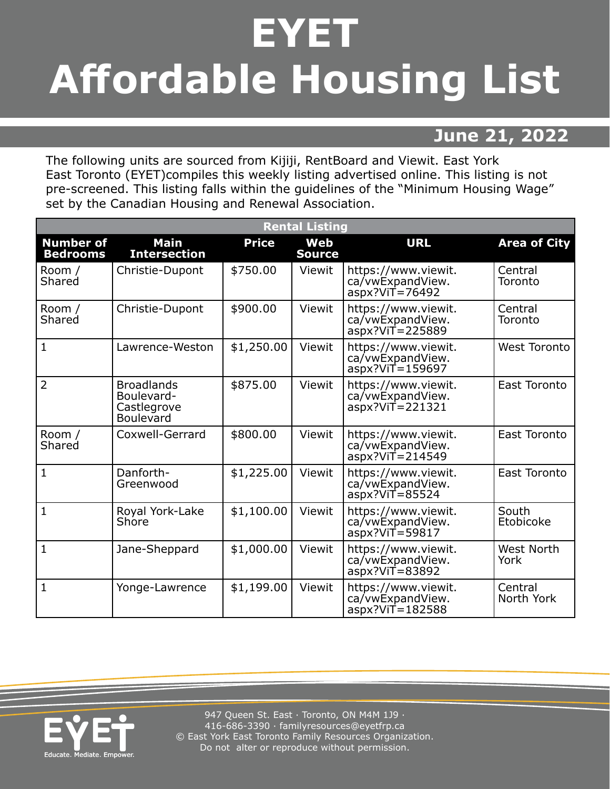## **EYET Affordable Housing List**

## **June 21, 2022**

The following units are sourced from Kijiji, RentBoard and Viewit. East York East Toronto (EYET)compiles this weekly listing advertised online. This listing is not pre-screened. This listing falls within the guidelines of the "Minimum Housing Wage" set by the Canadian Housing and Renewal Association.

| <b>Rental Listing</b>               |                                                                    |              |                             |                                                                |                           |  |  |  |
|-------------------------------------|--------------------------------------------------------------------|--------------|-----------------------------|----------------------------------------------------------------|---------------------------|--|--|--|
| <b>Number of</b><br><b>Bedrooms</b> | <b>Main</b><br><b>Intersection</b>                                 | <b>Price</b> | <b>Web</b><br><b>Source</b> | <b>URL</b>                                                     | <b>Area of City</b>       |  |  |  |
| Room /<br>Shared                    | Christie-Dupont                                                    | \$750.00     | Viewit                      | https://www.viewit.<br>ca/vwExpandView.<br>$aspx?VIT = 76492$  | Central<br>Toronto        |  |  |  |
| Room /<br>Shared                    | Christie-Dupont                                                    | \$900.00     | Viewit                      | https://www.viewit.<br>ca/vwExpandView.<br>$aspx?ViT = 225889$ | Central<br>Toronto        |  |  |  |
| $\vert$ 1                           | Lawrence-Weston                                                    | \$1,250.00   | Viewit                      | https://www.viewit.<br>ca/vwExpandView.<br>$aspx?VIT = 159697$ | <b>West Toronto</b>       |  |  |  |
| $\overline{2}$                      | <b>Broadlands</b><br>Boulevard-<br>Castlegrove<br><b>Boulevard</b> | \$875.00     | Viewit                      | https://www.viewit.<br>ca/vwExpandView.<br>aspx?ViT=221321     | East Toronto              |  |  |  |
| Room /<br>Shared                    | Coxwell-Gerrard                                                    | \$800.00     | Viewit                      | https://www.viewit.<br>ca/vwExpandView.<br>$aspx?VIT = 214549$ | East Toronto              |  |  |  |
| $\vert$ 1                           | Danforth-<br>Greenwood                                             | \$1,225.00   | Viewit                      | https://www.viewit.<br>ca/vwExpandView.<br>$aspx?VIT = 85524$  | East Toronto              |  |  |  |
| $\mathbf{1}$                        | Royal York-Lake<br>Shore                                           | \$1,100.00   | Viewit                      | https://www.viewit.<br>ca/vwExpandView.<br>$aspx?ViT = 59817$  | South<br>Etobicoke        |  |  |  |
| $\mathbf{1}$                        | Jane-Sheppard                                                      | \$1,000.00   | Viewit                      | https://www.viewit.<br>ca/vwExpandView.<br>$aspx?ViT = 83892$  | <b>West North</b><br>York |  |  |  |
| $\mathbf{1}$                        | Yonge-Lawrence                                                     | \$1,199.00   | Viewit                      | https://www.viewit.<br>ca/vwExpandView.<br>$aspx?ViT = 182588$ | Central<br>North York     |  |  |  |



947 Queen St. East · Toronto, ON M4M 1J9 · 416-686-3390 · [familyresources@eyetfrp.ca](mailto:familyresources@eyetfrp.ca) © East York East Toronto Family Resources Organization. Do not alter or reproduce without permission.